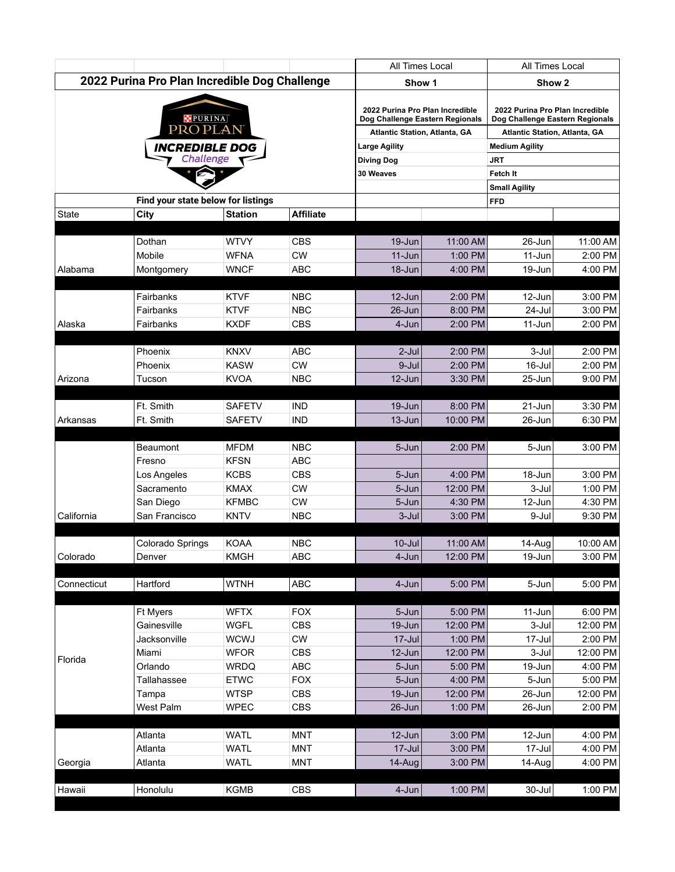|                                               |                                    |                            |                          | All Times Local                                                                                            |                      | All Times Local                                                                                     |                     |
|-----------------------------------------------|------------------------------------|----------------------------|--------------------------|------------------------------------------------------------------------------------------------------------|----------------------|-----------------------------------------------------------------------------------------------------|---------------------|
| 2022 Purina Pro Plan Incredible Dog Challenge |                                    |                            |                          | Show 1                                                                                                     |                      | Show <sub>2</sub>                                                                                   |                     |
| <b>PURINA</b><br>PROPLAN                      |                                    |                            |                          | 2022 Purina Pro Plan Incredible<br>Dog Challenge Eastern Regionals<br><b>Atlantic Station, Atlanta, GA</b> |                      | 2022 Purina Pro Plan Incredible<br>Dog Challenge Eastern Regionals<br>Atlantic Station, Atlanta, GA |                     |
|                                               |                                    |                            |                          |                                                                                                            |                      |                                                                                                     |                     |
|                                               |                                    |                            |                          | <b>Diving Dog</b><br>30 Weaves                                                                             |                      | Fetch It                                                                                            |                     |
|                                               |                                    |                            |                          |                                                                                                            |                      | <b>Small Agility</b>                                                                                |                     |
|                                               | Find your state below for listings |                            |                          |                                                                                                            |                      | <b>FFD</b>                                                                                          |                     |
| <b>State</b>                                  | City                               | <b>Station</b>             | <b>Affiliate</b>         |                                                                                                            |                      |                                                                                                     |                     |
|                                               |                                    |                            |                          |                                                                                                            |                      |                                                                                                     |                     |
|                                               | Dothan<br>Mobile                   | <b>WTVY</b><br><b>WFNA</b> | <b>CBS</b><br><b>CW</b>  | 19-Jun<br>$11-Jun$                                                                                         | 11:00 AM<br>1:00 PM  | 26-Jun<br>11-Jun                                                                                    | 11:00 AM<br>2:00 PM |
| Alabama                                       | Montgomery                         | <b>WNCF</b>                | <b>ABC</b>               | 18-Jun                                                                                                     | 4:00 PM              | 19-Jun                                                                                              | 4:00 PM             |
|                                               |                                    |                            |                          |                                                                                                            |                      |                                                                                                     |                     |
|                                               | Fairbanks                          | <b>KTVF</b>                | <b>NBC</b>               | 12-Jun                                                                                                     | 2:00 PM              | 12-Jun                                                                                              | 3:00 PM             |
|                                               | Fairbanks                          | <b>KTVF</b>                | <b>NBC</b>               | 26-Jun                                                                                                     | 8:00 PM              | 24-Jul                                                                                              | 3:00 PM             |
| Alaska                                        | Fairbanks                          | <b>KXDF</b>                | <b>CBS</b>               | 4-Jun                                                                                                      | 2:00 PM              | 11-Jun                                                                                              | 2:00 PM             |
|                                               |                                    |                            |                          |                                                                                                            |                      |                                                                                                     |                     |
|                                               | Phoenix                            | <b>KNXV</b>                | <b>ABC</b>               | $2$ -Jul                                                                                                   | 2:00 PM              | 3-Jul                                                                                               | 2:00 PM             |
|                                               | Phoenix                            | <b>KASW</b>                | <b>CW</b>                | 9-Jul                                                                                                      | 2:00 PM              | 16-Jul                                                                                              | 2:00 PM             |
| Arizona                                       | Tucson                             | <b>KVOA</b>                | <b>NBC</b>               | 12-Jun                                                                                                     | 3:30 PM              | 25-Jun                                                                                              | 9:00 PM             |
|                                               | Ft. Smith                          | <b>SAFETV</b>              | <b>IND</b>               | 19-Jun                                                                                                     | 8:00 PM              | 21-Jun                                                                                              | 3:30 PM             |
| Arkansas                                      | Ft. Smith                          | <b>SAFETV</b>              | <b>IND</b>               | 13-Jun                                                                                                     | 10:00 PM             | 26-Jun                                                                                              | 6:30 PM             |
|                                               |                                    |                            |                          |                                                                                                            |                      |                                                                                                     |                     |
|                                               | <b>Beaumont</b>                    | <b>MFDM</b>                | <b>NBC</b>               | 5-Jun                                                                                                      | 2:00 PM              | 5-Jun                                                                                               | 3:00 PM             |
|                                               | Fresno                             | <b>KFSN</b>                | <b>ABC</b>               |                                                                                                            |                      |                                                                                                     |                     |
|                                               | Los Angeles                        | <b>KCBS</b>                | <b>CBS</b>               | 5-Jun                                                                                                      | 4:00 PM              | 18-Jun                                                                                              | 3:00 PM             |
|                                               | Sacramento                         | <b>KMAX</b>                | ${\sf CW}$               | 5-Jun                                                                                                      | 12:00 PM             | 3-Jul                                                                                               | 1:00 PM             |
|                                               | San Diego                          | <b>KFMBC</b>               | <b>CW</b>                | 5-Jun                                                                                                      | 4:30 PM              | 12-Jun                                                                                              | 4:30 PM             |
| California                                    | San Francisco                      | <b>KNTV</b>                | <b>NBC</b>               | 3-Jul                                                                                                      | 3:00 PM              | 9-Jul                                                                                               | 9:30 PM             |
|                                               |                                    |                            |                          |                                                                                                            |                      |                                                                                                     |                     |
|                                               | Colorado Springs                   | KOAA<br><b>KMGH</b>        | <b>NBC</b><br><b>ABC</b> | $10$ -Jul                                                                                                  | 11:00 AM<br>12:00 PM | 14-Aug<br>19-Jun                                                                                    | 10:00 AM<br>3:00 PM |
| Colorado                                      | Denver                             |                            |                          | 4-Jun                                                                                                      |                      |                                                                                                     |                     |
| Connecticut                                   | Hartford                           | <b>WTNH</b>                | ABC                      | 4-Jun                                                                                                      | 5:00 PM              | 5-Jun                                                                                               | 5:00 PM             |
|                                               | <b>Ft Myers</b>                    | <b>WFTX</b>                | <b>FOX</b>               | 5-Jun                                                                                                      | 5:00 PM              | 11-Jun                                                                                              | 6:00 PM             |
|                                               | Gainesville                        | <b>WGFL</b>                | <b>CBS</b>               | 19-Jun                                                                                                     | 12:00 PM             | 3-Jul                                                                                               | 12:00 PM            |
|                                               | Jacksonville                       | <b>WCWJ</b>                | CW                       | 17-Jul                                                                                                     | 1:00 PM              | 17-Jul                                                                                              | 2:00 PM             |
|                                               | Miami                              | <b>WFOR</b>                | <b>CBS</b>               | 12-Jun                                                                                                     | 12:00 PM             | 3-Jul                                                                                               | 12:00 PM            |
| Florida                                       | Orlando                            | <b>WRDQ</b>                | ABC                      | 5-Jun                                                                                                      | 5:00 PM              | 19-Jun                                                                                              | 4:00 PM             |
|                                               | Tallahassee                        | <b>ETWC</b>                | <b>FOX</b>               | 5-Jun                                                                                                      | 4:00 PM              | 5-Jun                                                                                               | 5:00 PM             |
|                                               | Tampa                              | <b>WTSP</b>                | <b>CBS</b>               | 19-Jun                                                                                                     | 12:00 PM             | 26-Jun                                                                                              | 12:00 PM            |
|                                               | West Palm                          | <b>WPEC</b>                | CBS                      | 26-Jun                                                                                                     | 1:00 PM              | 26-Jun                                                                                              | 2:00 PM             |
|                                               |                                    |                            |                          |                                                                                                            |                      |                                                                                                     |                     |
|                                               | Atlanta                            | <b>WATL</b>                | <b>MNT</b>               | 12-Jun<br>17-Jul                                                                                           | 3:00 PM              | 12-Jun                                                                                              | 4:00 PM             |
|                                               | Atlanta                            | <b>WATL</b><br><b>WATL</b> | <b>MNT</b><br><b>MNT</b> |                                                                                                            | 3:00 PM<br>3:00 PM   | 17-Jul<br>14-Aug                                                                                    | 4:00 PM<br>4:00 PM  |
| Georgia                                       | Atlanta                            |                            |                          | 14-Aug                                                                                                     |                      |                                                                                                     |                     |
| Hawaii                                        | Honolulu                           | <b>KGMB</b>                | CBS                      | $4 - Jun$                                                                                                  | 1:00 PM              | $30 -$ Jul                                                                                          | 1:00 PM             |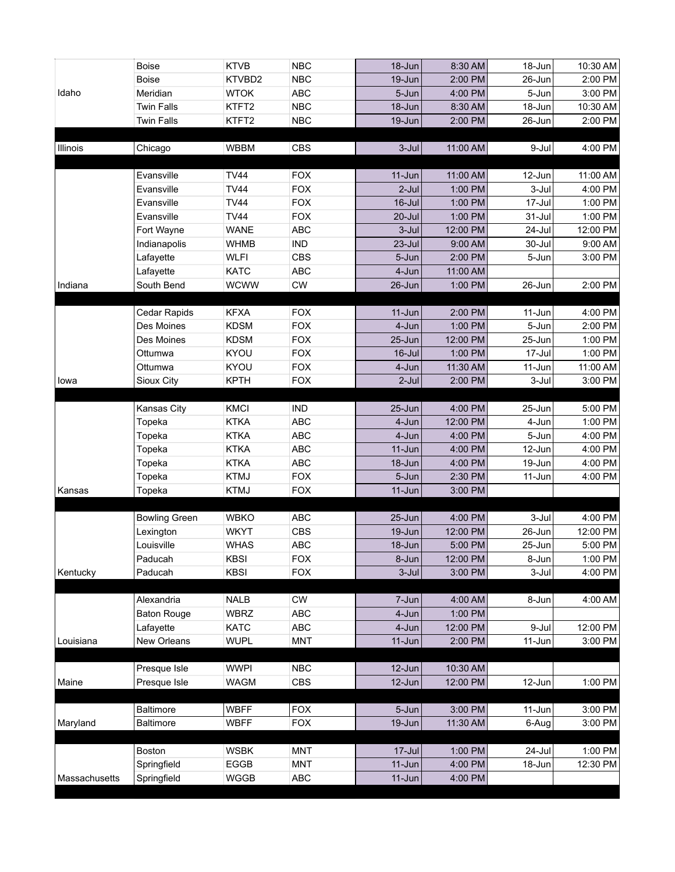|               | <b>Boise</b>         | <b>KTVB</b>                | <b>NBC</b>               | 18-Jun             | 8:30 AM             | 18-Jun              | 10:30 AM |
|---------------|----------------------|----------------------------|--------------------------|--------------------|---------------------|---------------------|----------|
|               | <b>Boise</b>         | KTVBD2                     | <b>NBC</b>               | 19-Jun             | 2:00 PM             | 26-Jun              | 2:00 PM  |
| Idaho         | Meridian             | <b>WTOK</b>                | ABC                      | 5-Jun              | 4:00 PM             | 5-Jun               | 3:00 PM  |
|               | <b>Twin Falls</b>    | KTFT2                      | NBC                      | 18-Jun             | 8:30 AM             | 18-Jun              | 10:30 AM |
|               | <b>Twin Falls</b>    | KTFT2                      | <b>NBC</b>               | 19-Jun             | 2:00 PM             | 26-Jun              | 2:00 PM  |
|               |                      |                            |                          |                    |                     |                     |          |
| Illinois      | Chicago              | <b>WBBM</b>                | <b>CBS</b>               | $3-Jul$            | 11:00 AM            | 9-Jul               | 4:00 PM  |
|               |                      |                            |                          |                    |                     |                     |          |
|               | Evansville           | <b>TV44</b><br><b>TV44</b> | <b>FOX</b><br><b>FOX</b> | 11-Jun<br>$2$ -Jul | 11:00 AM<br>1:00 PM | 12-Jun              | 11:00 AM |
|               | Evansville           | <b>TV44</b>                |                          |                    |                     | 3-Jul<br>$17 -$ Jul | 4:00 PM  |
|               | Evansville           |                            | <b>FOX</b>               | $16$ -Jul          | 1:00 PM             |                     | 1:00 PM  |
|               | Evansville           | <b>TV44</b>                | <b>FOX</b>               | 20-Jul             | 1:00 PM             | $31 -$ Jul          | 1:00 PM  |
|               | Fort Wayne           | <b>WANE</b>                | ABC                      | 3-Jul              | 12:00 PM            | 24-Jul              | 12:00 PM |
|               | Indianapolis         | <b>WHMB</b>                | <b>IND</b>               | 23-Jul             | 9:00 AM             | 30-Jul              | 9:00 AM  |
|               | Lafayette            | <b>WLFI</b>                | <b>CBS</b>               | 5-Jun              | 2:00 PM             | 5-Jun               | 3:00 PM  |
|               | Lafayette            | <b>KATC</b>                | ABC                      | 4-Jun              | 11:00 AM            |                     |          |
| Indiana       | South Bend           | <b>WCWW</b>                | <b>CW</b>                | 26-Jun             | 1:00 PM             | 26-Jun              | 2:00 PM  |
|               | Cedar Rapids         | <b>KFXA</b>                | <b>FOX</b>               | 11-Jun             | 2:00 PM             | 11-Jun              | 4:00 PM  |
|               | Des Moines           | <b>KDSM</b>                | <b>FOX</b>               | 4-Jun              | 1:00 PM             | 5-Jun               | 2:00 PM  |
|               | Des Moines           | <b>KDSM</b>                | <b>FOX</b>               | 25-Jun             | 12:00 PM            | 25-Jun              | 1:00 PM  |
|               | Ottumwa              | KYOU                       | <b>FOX</b>               | $16$ -Jul          | 1:00 PM             | $17 -$ Jul          | 1:00 PM  |
|               | Ottumwa              | KYOU                       | <b>FOX</b>               | 4-Jun              | 11:30 AM            | 11-Jun              | 11:00 AM |
| lowa          | Sioux City           | <b>KPTH</b>                | <b>FOX</b>               | 2-Jul              | 2:00 PM             | 3-Jul               | 3:00 PM  |
|               |                      |                            |                          |                    |                     |                     |          |
|               | Kansas City          | KMCI                       | <b>IND</b>               | 25-Jun             | 4:00 PM             | 25-Jun              | 5:00 PM  |
|               | Topeka               | <b>KTKA</b>                | ABC                      | 4-Jun              | 12:00 PM            | 4-Jun               | 1:00 PM  |
|               | Topeka               | <b>KTKA</b>                | ABC                      | 4-Jun              | 4:00 PM             | 5-Jun               | 4:00 PM  |
|               | Topeka               | <b>KTKA</b>                | ABC                      | $11-Jun$           | 4:00 PM             | 12-Jun              | 4:00 PM  |
|               | Topeka               | <b>KTKA</b>                | ABC                      | 18-Jun             | 4:00 PM             | 19-Jun              | 4:00 PM  |
|               | Topeka               | <b>KTMJ</b>                | <b>FOX</b>               | 5-Jun              | 2:30 PM             | 11-Jun              | 4:00 PM  |
| Kansas        | Topeka               | <b>KTMJ</b>                | <b>FOX</b>               | 11-Jun             | 3:00 PM             |                     |          |
|               | <b>Bowling Green</b> | <b>WBKO</b>                | ABC                      | 25-Jun             | 4:00 PM             | 3-Jul               | 4:00 PM  |
|               | Lexington            | <b>WKYT</b>                | <b>CBS</b>               | 19-Jun             | 12:00 PM            | 26-Jun              | 12:00 PM |
|               | Louisville           | <b>WHAS</b>                | ABC                      | $18 - Jun$         | 5:00 PM             | 25-Jun              | 5:00 PM  |
|               | Paducah              | <b>KBSI</b>                | <b>FOX</b>               | 8-Jun              | 12:00 PM            | 8-Jun               | 1:00 PM  |
| Kentucky      | Paducah              | <b>KBSI</b>                | <b>FOX</b>               | 3-Jul              | 3:00 PM             | 3-Jul               | 4:00 PM  |
|               |                      |                            |                          |                    |                     |                     |          |
|               | Alexandria           | <b>NALB</b>                | <b>CW</b>                | 7-Jun              | 4:00 AM             | 8-Jun               | 4:00 AM  |
|               | <b>Baton Rouge</b>   | <b>WBRZ</b>                | ABC                      | 4-Jun              | 1:00 PM             |                     |          |
|               | Lafayette            | <b>KATC</b>                | ABC                      | 4-Jun              | 12:00 PM            | 9-Jul               | 12:00 PM |
| Louisiana     | New Orleans          | <b>WUPL</b>                | <b>MNT</b>               | 11-Jun             | 2:00 PM             | 11-Jun              | 3:00 PM  |
|               |                      |                            |                          |                    |                     |                     |          |
|               | Presque Isle         | <b>WWPI</b>                | NBC                      | 12-Jun             | 10:30 AM            |                     |          |
| Maine         | Presque Isle         | <b>WAGM</b>                | <b>CBS</b>               | 12-Jun             | 12:00 PM            | 12-Jun              | 1:00 PM  |
|               | <b>Baltimore</b>     | <b>WBFF</b>                | <b>FOX</b>               | 5-Jun              | 3:00 PM             | 11-Jun              | 3:00 PM  |
| Maryland      | <b>Baltimore</b>     | <b>WBFF</b>                | <b>FOX</b>               | 19-Jun             | 11:30 AM            | 6-Aug               | 3:00 PM  |
|               |                      |                            |                          |                    |                     |                     |          |
|               | Boston               | <b>WSBK</b>                | <b>MNT</b>               | 17-Jul             | 1:00 PM             | 24-Jul              | 1:00 PM  |
|               | Springfield          | EGGB                       | <b>MNT</b>               | $11-Jun$           | 4:00 PM             | 18-Jun              | 12:30 PM |
| Massachusetts | Springfield          | <b>WGGB</b>                | ABC                      | 11-Jun             | 4:00 PM             |                     |          |
|               |                      |                            |                          |                    |                     |                     |          |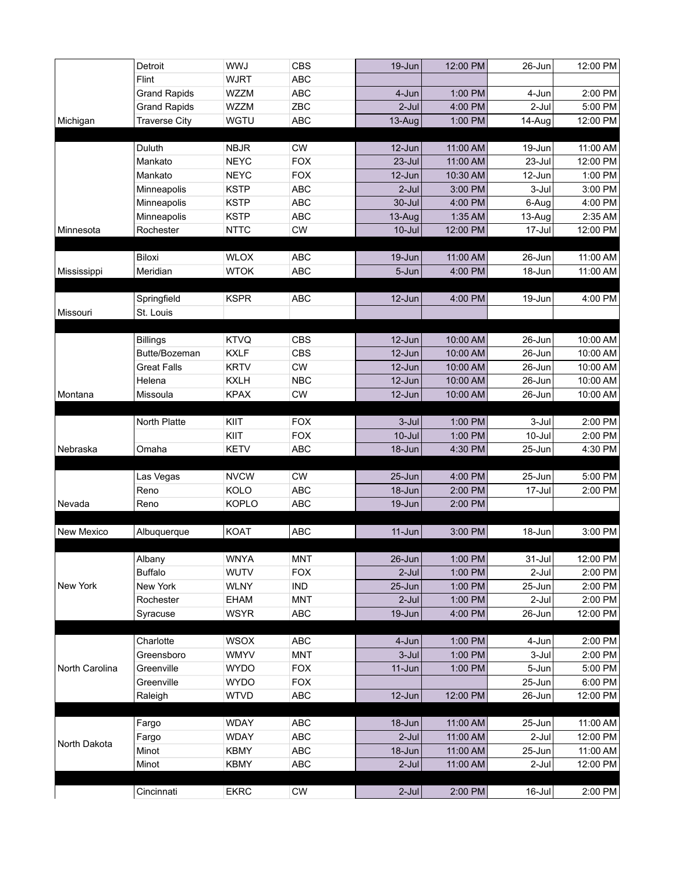|                   | Detroit              | WWJ          | <b>CBS</b>       | 19-Jun     | 12:00 PM | 26-Jun     | 12:00 PM |
|-------------------|----------------------|--------------|------------------|------------|----------|------------|----------|
|                   | Flint                | <b>WJRT</b>  | <b>ABC</b>       |            |          |            |          |
|                   | <b>Grand Rapids</b>  | WZZM         | <b>ABC</b>       | 4-Jun      | 1:00 PM  | 4-Jun      | 2:00 PM  |
|                   | <b>Grand Rapids</b>  | WZZM         | ZBC              | $2$ -Jul   | 4:00 PM  | 2-Jul      | 5:00 PM  |
| Michigan          | <b>Traverse City</b> | WGTU         | <b>ABC</b>       | 13-Aug     | 1:00 PM  | 14-Aug     | 12:00 PM |
|                   |                      |              |                  |            |          |            |          |
|                   | Duluth               | <b>NBJR</b>  | <b>CW</b>        | 12-Jun     | 11:00 AM | 19-Jun     | 11:00 AM |
|                   | Mankato              | <b>NEYC</b>  | <b>FOX</b>       | 23-Jul     | 11:00 AM | 23-Jul     | 12:00 PM |
|                   | Mankato              | <b>NEYC</b>  | <b>FOX</b>       | 12-Jun     | 10:30 AM | 12-Jun     | 1:00 PM  |
|                   | Minneapolis          | <b>KSTP</b>  | ABC              | $2$ -Jul   | 3:00 PM  | 3-Jul      | 3:00 PM  |
|                   | Minneapolis          | <b>KSTP</b>  | ABC              | 30-Jul     | 4:00 PM  | 6-Aug      | 4:00 PM  |
|                   | Minneapolis          | <b>KSTP</b>  | ABC              | 13-Aug     | 1:35 AM  | 13-Aug     | 2:35 AM  |
| Minnesota         | Rochester            | <b>NTTC</b>  | ${\sf CW}$       | $10$ -Jul  | 12:00 PM | 17-Jul     | 12:00 PM |
|                   |                      |              |                  |            |          |            |          |
|                   | <b>Biloxi</b>        | <b>WLOX</b>  | <b>ABC</b>       | 19-Jun     | 11:00 AM | 26-Jun     | 11:00 AM |
| Mississippi       | Meridian             | <b>WTOK</b>  | <b>ABC</b>       | 5-Jun      | 4:00 PM  | 18-Jun     | 11:00 AM |
|                   |                      |              |                  |            |          |            |          |
|                   | Springfield          | <b>KSPR</b>  | <b>ABC</b>       | 12-Jun     | 4:00 PM  | 19-Jun     | 4:00 PM  |
| Missouri          | St. Louis            |              |                  |            |          |            |          |
|                   |                      |              |                  |            |          |            |          |
|                   | <b>Billings</b>      | <b>KTVQ</b>  | <b>CBS</b>       | 12-Jun     | 10:00 AM | 26-Jun     | 10:00 AM |
|                   | Butte/Bozeman        | <b>KXLF</b>  | <b>CBS</b>       | 12-Jun     | 10:00 AM | 26-Jun     | 10:00 AM |
|                   | <b>Great Falls</b>   | <b>KRTV</b>  | ${\sf\small CW}$ | 12-Jun     | 10:00 AM | 26-Jun     | 10:00 AM |
|                   | Helena               | <b>KXLH</b>  | <b>NBC</b>       | 12-Jun     | 10:00 AM | 26-Jun     | 10:00 AM |
| Montana           | Missoula             | <b>KPAX</b>  | <b>CW</b>        | 12-Jun     | 10:00 AM | 26-Jun     | 10:00 AM |
|                   |                      |              |                  |            |          |            |          |
|                   | North Platte         | KIIT         | <b>FOX</b>       | $3-Jul$    | 1:00 PM  | 3-Jul      | 2:00 PM  |
|                   |                      | KIIT         | <b>FOX</b>       | $10$ -Jul  | 1:00 PM  | $10 -$ Jul | 2:00 PM  |
| Nebraska          | Omaha                | <b>KETV</b>  | <b>ABC</b>       | 18-Jun     | 4:30 PM  | 25-Jun     | 4:30 PM  |
|                   |                      |              |                  |            |          |            |          |
|                   | Las Vegas            | <b>NVCW</b>  | <b>CW</b>        | 25-Jun     | 4:00 PM  | 25-Jun     | 5:00 PM  |
|                   | Reno                 | KOLO         | <b>ABC</b>       | 18-Jun     | 2:00 PM  | 17-Jul     | 2:00 PM  |
| Nevada            | Reno                 | <b>KOPLO</b> | <b>ABC</b>       | 19-Jun     | 2:00 PM  |            |          |
|                   |                      |              |                  |            |          |            |          |
| <b>New Mexico</b> | Albuquerque          | <b>KOAT</b>  | <b>ABC</b>       | $11 - Jun$ | 3:00 PM  | 18-Jun     | 3:00 PM  |
|                   |                      |              |                  |            |          |            |          |
|                   | Albany               | <b>WNYA</b>  | <b>MNT</b>       | 26-Jun     | 1:00 PM  | 31-Jul     | 12:00 PM |
|                   | <b>Buffalo</b>       | <b>WUTV</b>  | <b>FOX</b>       | $2$ -Jul   | 1:00 PM  | 2-Jul      | 2:00 PM  |
| New York          | New York             | <b>WLNY</b>  | <b>IND</b>       | 25-Jun     | 1:00 PM  | 25-Jun     | 2:00 PM  |
|                   | Rochester            | EHAM         | <b>MNT</b>       | $2$ -Jul   | 1:00 PM  | 2-Jul      | 2:00 PM  |
|                   | Syracuse             | <b>WSYR</b>  | ABC              | 19-Jun     | 4:00 PM  | 26-Jun     | 12:00 PM |
|                   |                      |              |                  |            |          |            |          |
|                   | Charlotte            | <b>WSOX</b>  | ABC              | 4-Jun      | 1:00 PM  | 4-Jun      | 2:00 PM  |
| North Carolina    | Greensboro           | <b>WMYV</b>  | <b>MNT</b>       | 3-Jul      | 1:00 PM  | 3-Jul      | 2:00 PM  |
|                   | Greenville           | <b>WYDO</b>  | <b>FOX</b>       | 11-Jun     | 1:00 PM  | 5-Jun      | 5:00 PM  |
|                   | Greenville           | <b>WYDO</b>  | <b>FOX</b>       |            |          | 25-Jun     | 6:00 PM  |
|                   | Raleigh              | <b>WTVD</b>  | ABC              | 12-Jun     | 12:00 PM | 26-Jun     | 12:00 PM |
|                   |                      |              |                  |            |          |            |          |
|                   | Fargo                | <b>WDAY</b>  | ABC              | 18-Jun     | 11:00 AM | 25-Jun     | 11:00 AM |
| North Dakota      | Fargo                | <b>WDAY</b>  | ABC              | $2-Jul$    | 11:00 AM | 2-Jul      | 12:00 PM |
|                   | Minot                | <b>KBMY</b>  | ABC              | 18-Jun     | 11:00 AM | 25-Jun     | 11:00 AM |
|                   | Minot                | <b>KBMY</b>  | ABC              | $2$ -Jul   | 11:00 AM | 2-Jul      | 12:00 PM |
|                   |                      |              |                  |            |          |            |          |
|                   | Cincinnati           | <b>EKRC</b>  | <b>CW</b>        | $2$ -Jul   | 2:00 PM  | 16-Jul     | 2:00 PM  |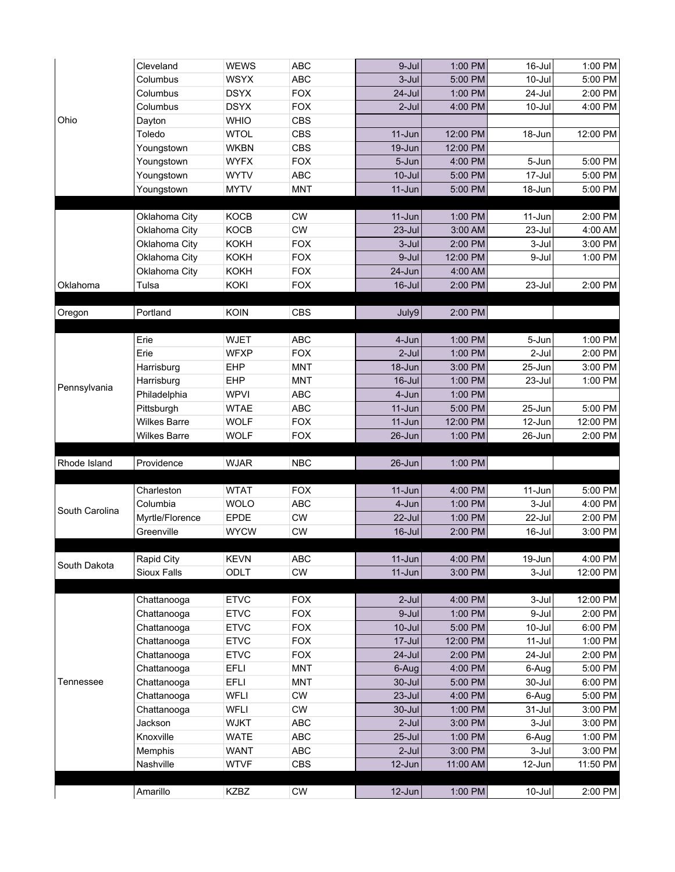| Ohio           | Cleveland           | <b>WEWS</b> | <b>ABC</b>       | 9-Jul      | 1:00 PM  | 16-Jul     | 1:00 PM  |
|----------------|---------------------|-------------|------------------|------------|----------|------------|----------|
|                | Columbus            | <b>WSYX</b> | <b>ABC</b>       | $3-Jul$    | 5:00 PM  | 10-Jul     | 5:00 PM  |
|                | Columbus            | <b>DSYX</b> | <b>FOX</b>       | $24 -$ Jul | 1:00 PM  | 24-Jul     | 2:00 PM  |
|                | Columbus            | <b>DSYX</b> | <b>FOX</b>       | $2$ -Jul   | 4:00 PM  | 10-Jul     | 4:00 PM  |
|                | Dayton              | <b>WHIO</b> | <b>CBS</b>       |            |          |            |          |
|                | Toledo              | <b>WTOL</b> | <b>CBS</b>       | 11-Jun     | 12:00 PM | 18-Jun     | 12:00 PM |
|                | Youngstown          | <b>WKBN</b> | <b>CBS</b>       | 19-Jun     | 12:00 PM |            |          |
|                | Youngstown          | <b>WYFX</b> | <b>FOX</b>       | 5-Jun      | 4:00 PM  | 5-Jun      | 5:00 PM  |
|                | Youngstown          | <b>WYTV</b> | ABC              | $10 -$ Jul | 5:00 PM  | 17-Jul     | 5:00 PM  |
|                | Youngstown          | <b>MYTV</b> | <b>MNT</b>       | $11-Jun$   | 5:00 PM  | 18-Jun     | 5:00 PM  |
|                |                     |             |                  |            |          |            |          |
|                | Oklahoma City       | <b>KOCB</b> | <b>CW</b>        | $11 - Jun$ | 1:00 PM  | 11-Jun     | 2:00 PM  |
|                | Oklahoma City       | <b>KOCB</b> | <b>CW</b>        | 23-Jul     | 3:00 AM  | 23-Jul     | 4:00 AM  |
|                | Oklahoma City       | <b>KOKH</b> | <b>FOX</b>       | 3-Jul      | 2:00 PM  | 3-Jul      | 3:00 PM  |
|                | Oklahoma City       | <b>KOKH</b> | <b>FOX</b>       | 9-Jul      | 12:00 PM | 9-Jul      | 1:00 PM  |
|                | Oklahoma City       | <b>KOKH</b> | <b>FOX</b>       | 24-Jun     | 4:00 AM  |            |          |
| Oklahoma       | Tulsa               | KOKI        | <b>FOX</b>       | $16$ -Jul  | 2:00 PM  | 23-Jul     | 2:00 PM  |
|                |                     |             |                  |            |          |            |          |
| Oregon         | Portland            | KOIN        | <b>CBS</b>       | July9      | 2:00 PM  |            |          |
|                |                     |             |                  |            |          |            |          |
|                | Erie                | <b>WJET</b> | <b>ABC</b>       | 4-Jun      | 1:00 PM  | 5-Jun      | 1:00 PM  |
|                | Erie                | <b>WFXP</b> | <b>FOX</b>       | $2-Jul$    | 1:00 PM  | 2-Jul      | 2:00 PM  |
|                | Harrisburg          | <b>EHP</b>  | <b>MNT</b>       | 18-Jun     | 3:00 PM  | 25-Jun     | 3:00 PM  |
|                | Harrisburg          | <b>EHP</b>  | <b>MNT</b>       | 16-Jul     | 1:00 PM  | 23-Jul     | 1:00 PM  |
| Pennsylvania   | Philadelphia        | <b>WPVI</b> | ABC              | 4-Jun      | 1:00 PM  |            |          |
|                | Pittsburgh          | <b>WTAE</b> | ABC              | 11-Jun     | 5:00 PM  | 25-Jun     | 5:00 PM  |
|                | <b>Wilkes Barre</b> | <b>WOLF</b> | <b>FOX</b>       | $11-Jun$   | 12:00 PM | 12-Jun     | 12:00 PM |
|                | Wilkes Barre        | <b>WOLF</b> | <b>FOX</b>       | 26-Jun     | 1:00 PM  | 26-Jun     | 2:00 PM  |
|                |                     |             |                  |            |          |            |          |
| Rhode Island   | Providence          | <b>WJAR</b> | <b>NBC</b>       | 26-Jun     | 1:00 PM  |            |          |
|                |                     |             |                  |            |          |            |          |
|                | Charleston          | <b>WTAT</b> | <b>FOX</b>       | $11-Jun$   | 4:00 PM  | 11-Jun     | 5:00 PM  |
| South Carolina | Columbia            | <b>WOLO</b> | <b>ABC</b>       | 4-Jun      | 1:00 PM  | 3-Jul      | 4:00 PM  |
|                | Myrtle/Florence     | <b>EPDE</b> | ${\sf\small CW}$ | 22-Jul     | 1:00 PM  | 22-Jul     | 2:00 PM  |
|                | Greenville          | <b>WYCW</b> | <b>CW</b>        | $16$ -Jul  | 2:00 PM  | 16-Jul     | 3:00 PM  |
|                |                     |             |                  |            |          |            |          |
| South Dakota   | Rapid City          | <b>KEVN</b> | ABC              | 11-Jun     | 4:00 PM  | 19-Jun     | 4:00 PM  |
|                | Sioux Falls         | ODLT        | CW               | $11-Jun$   | 3:00 PM  | 3-Jul      | 12:00 PM |
|                | Chattanooga         | <b>ETVC</b> | <b>FOX</b>       | $2$ -Jul   | 4:00 PM  | 3-Jul      | 12:00 PM |
|                | Chattanooga         | <b>ETVC</b> | <b>FOX</b>       | 9-Jul      | 1:00 PM  | 9-Jul      | 2:00 PM  |
|                | Chattanooga         | <b>ETVC</b> | <b>FOX</b>       | $10$ -Jul  | 5:00 PM  | 10-Jul     | 6:00 PM  |
|                | Chattanooga         | <b>ETVC</b> | <b>FOX</b>       | 17-Jul     | 12:00 PM | 11-Jul     | 1:00 PM  |
|                | Chattanooga         | <b>ETVC</b> | <b>FOX</b>       | 24-Jul     | 2:00 PM  | 24-Jul     | 2:00 PM  |
| Tennessee      | Chattanooga         | <b>EFLI</b> | MNT              | 6-Aug      | 4:00 PM  | 6-Aug      | 5:00 PM  |
|                | Chattanooga         | <b>EFLI</b> | <b>MNT</b>       | 30-Jul     | 5:00 PM  | 30-Jul     | 6:00 PM  |
|                | Chattanooga         | <b>WFLI</b> | ${\sf\small CW}$ | 23-Jul     | 4:00 PM  | 6-Aug      | 5:00 PM  |
|                | Chattanooga         | <b>WFLI</b> | CW               | 30-Jul     | 1:00 PM  | $31 -$ Jul | 3:00 PM  |
|                | Jackson             | <b>WJKT</b> | ABC              | $2$ -Jul   | 3:00 PM  | 3-Jul      | 3:00 PM  |
|                | Knoxville           | <b>WATE</b> | ABC              | 25-Jul     | 1:00 PM  | 6-Aug      | 1:00 PM  |
|                | Memphis             | WANT        | ABC              | $2$ -Jul   | 3:00 PM  | 3-Jul      | 3:00 PM  |
|                | Nashville           | <b>WTVF</b> | <b>CBS</b>       | 12-Jun     | 11:00 AM | 12-Jun     | 11:50 PM |
|                |                     |             |                  |            |          |            |          |
|                | Amarillo            | KZBZ        | <b>CW</b>        | 12-Jun     | 1:00 PM  | 10-Jul     | 2:00 PM  |
|                |                     |             |                  |            |          |            |          |